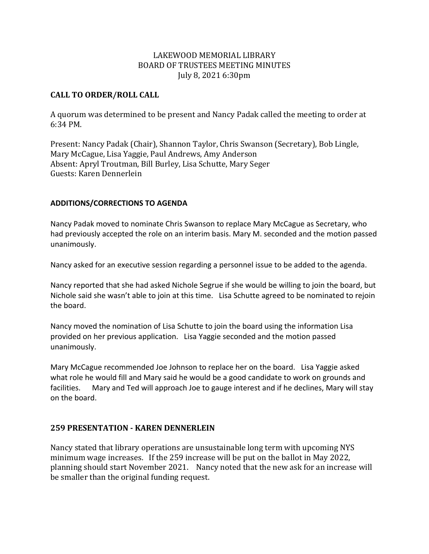## LAKEWOOD MEMORIAL LIBRARY BOARD OF TRUSTEES MEETING MINUTES July 8, 2021 6:30pm

#### **CALL TO ORDER/ROLL CALL**

A quorum was determined to be present and Nancy Padak called the meeting to order at 6:34 PM.

Present: Nancy Padak (Chair), Shannon Taylor, Chris Swanson (Secretary), Bob Lingle, Mary McCague, Lisa Yaggie, Paul Andrews, Amy Anderson Absent: Apryl Troutman, Bill Burley, Lisa Schutte, Mary Seger Guests: Karen Dennerlein

#### **ADDITIONS/CORRECTIONS TO AGENDA**

Nancy Padak moved to nominate Chris Swanson to replace Mary McCague as Secretary, who had previously accepted the role on an interim basis. Mary M. seconded and the motion passed unanimously.

Nancy asked for an executive session regarding a personnel issue to be added to the agenda.

Nancy reported that she had asked Nichole Segrue if she would be willing to join the board, but Nichole said she wasn't able to join at this time. Lisa Schutte agreed to be nominated to rejoin the board.

Nancy moved the nomination of Lisa Schutte to join the board using the information Lisa provided on her previous application. Lisa Yaggie seconded and the motion passed unanimously.

Mary McCague recommended Joe Johnson to replace her on the board. Lisa Yaggie asked what role he would fill and Mary said he would be a good candidate to work on grounds and facilities. Mary and Ted will approach Joe to gauge interest and if he declines, Mary will stay on the board.

## **259 PRESENTATION - KAREN DENNERLEIN**

Nancy stated that library operations are unsustainable long term with upcoming NYS minimum wage increases. If the 259 increase will be put on the ballot in May 2022, planning should start November 2021. Nancy noted that the new ask for an increase will be smaller than the original funding request.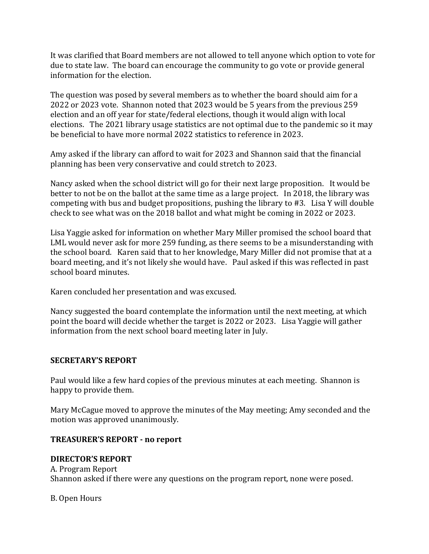It was clarified that Board members are not allowed to tell anyone which option to vote for due to state law. The board can encourage the community to go vote or provide general information for the election.

The question was posed by several members as to whether the board should aim for a 2022 or 2023 vote. Shannon noted that 2023 would be 5 years from the previous 259 election and an off year for state/federal elections, though it would align with local elections. The 2021 library usage statistics are not optimal due to the pandemic so it may be beneficial to have more normal 2022 statistics to reference in 2023.

Amy asked if the library can afford to wait for 2023 and Shannon said that the financial planning has been very conservative and could stretch to 2023.

Nancy asked when the school district will go for their next large proposition. It would be better to not be on the ballot at the same time as a large project. In 2018, the library was competing with bus and budget propositions, pushing the library to #3. Lisa Y will double check to see what was on the 2018 ballot and what might be coming in 2022 or 2023.

Lisa Yaggie asked for information on whether Mary Miller promised the school board that LML would never ask for more 259 funding, as there seems to be a misunderstanding with the school board. Karen said that to her knowledge, Mary Miller did not promise that at a board meeting, and it's not likely she would have. Paul asked if this was reflected in past school board minutes.

Karen concluded her presentation and was excused.

Nancy suggested the board contemplate the information until the next meeting, at which point the board will decide whether the target is 2022 or 2023. Lisa Yaggie will gather information from the next school board meeting later in July.

## **SECRETARY'S REPORT**

Paul would like a few hard copies of the previous minutes at each meeting. Shannon is happy to provide them.

Mary McCague moved to approve the minutes of the May meeting; Amy seconded and the motion was approved unanimously.

## **TREASURER'S REPORT - no report**

## **DIRECTOR'S REPORT**

A. Program Report Shannon asked if there were any questions on the program report, none were posed.

## B. Open Hours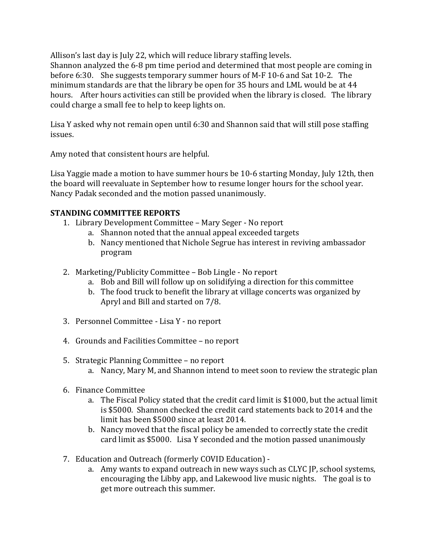Allison's last day is July 22, which will reduce library staffing levels.

Shannon analyzed the 6-8 pm time period and determined that most people are coming in before 6:30. She suggests temporary summer hours of M-F 10-6 and Sat 10-2. The minimum standards are that the library be open for 35 hours and LML would be at 44 hours. After hours activities can still be provided when the library is closed. The library could charge a small fee to help to keep lights on.

Lisa Y asked why not remain open until 6:30 and Shannon said that will still pose staffing issues.

Amy noted that consistent hours are helpful.

Lisa Yaggie made a motion to have summer hours be 10-6 starting Monday, July 12th, then the board will reevaluate in September how to resume longer hours for the school year. Nancy Padak seconded and the motion passed unanimously.

# **STANDING COMMITTEE REPORTS**

- 1. Library Development Committee Mary Seger No report
	- a. Shannon noted that the annual appeal exceeded targets
	- b. Nancy mentioned that Nichole Segrue has interest in reviving ambassador program
- 2. Marketing/Publicity Committee Bob Lingle No report
	- a. Bob and Bill will follow up on solidifying a direction for this committee
	- b. The food truck to benefit the library at village concerts was organized by Apryl and Bill and started on 7/8.
- 3. Personnel Committee Lisa Y no report
- 4. Grounds and Facilities Committee no report
- 5. Strategic Planning Committee no report
	- a. Nancy, Mary M, and Shannon intend to meet soon to review the strategic plan
- 6. Finance Committee
	- a. The Fiscal Policy stated that the credit card limit is \$1000, but the actual limit is \$5000. Shannon checked the credit card statements back to 2014 and the limit has been \$5000 since at least 2014.
	- b. Nancy moved that the fiscal policy be amended to correctly state the credit card limit as \$5000. Lisa Y seconded and the motion passed unanimously
- 7. Education and Outreach (formerly COVID Education)
	- a. Amy wants to expand outreach in new ways such as CLYC JP, school systems, encouraging the Libby app, and Lakewood live music nights. The goal is to get more outreach this summer.